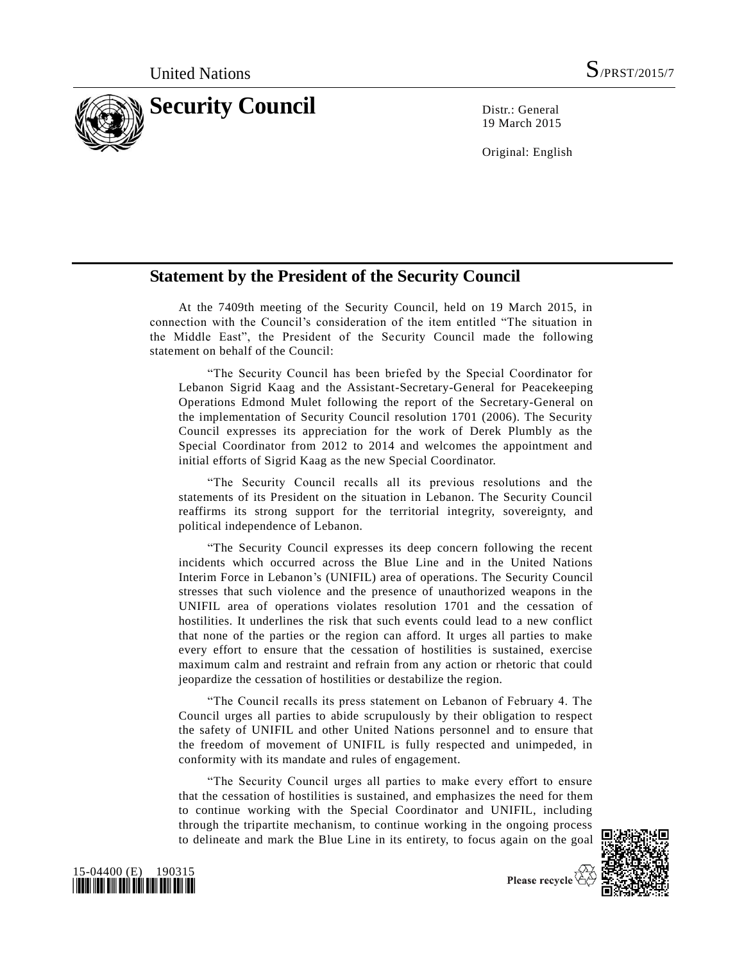

19 March 2015

Original: English

## **Statement by the President of the Security Council**

At the 7409th meeting of the Security Council, held on 19 March 2015, in connection with the Council's consideration of the item entitled "The situation in the Middle East", the President of the Security Council made the following statement on behalf of the Council:

"The Security Council has been briefed by the Special Coordinator for Lebanon Sigrid Kaag and the Assistant-Secretary-General for Peacekeeping Operations Edmond Mulet following the report of the Secretary-General on the implementation of Security Council resolution 1701 (2006). The Security Council expresses its appreciation for the work of Derek Plumbly as the Special Coordinator from 2012 to 2014 and welcomes the appointment and initial efforts of Sigrid Kaag as the new Special Coordinator.

"The Security Council recalls all its previous resolutions and the statements of its President on the situation in Lebanon. The Security Council reaffirms its strong support for the territorial integrity, sovereignty, and political independence of Lebanon.

"The Security Council expresses its deep concern following the recent incidents which occurred across the Blue Line and in the United Nations Interim Force in Lebanon's (UNIFIL) area of operations. The Security Council stresses that such violence and the presence of unauthorized weapons in the UNIFIL area of operations violates resolution 1701 and the cessation of hostilities. It underlines the risk that such events could lead to a new conflict that none of the parties or the region can afford. It urges all parties to make every effort to ensure that the cessation of hostilities is sustained, exercise maximum calm and restraint and refrain from any action or rhetoric that could jeopardize the cessation of hostilities or destabilize the region.

"The Council recalls its press statement on Lebanon of February 4. The Council urges all parties to abide scrupulously by their obligation to respect the safety of UNIFIL and other United Nations personnel and to ensure that the freedom of movement of UNIFIL is fully respected and unimpeded, in conformity with its mandate and rules of engagement.

"The Security Council urges all parties to make every effort to ensure that the cessation of hostilities is sustained, and emphasizes the need for them to continue working with the Special Coordinator and UNIFIL, including through the tripartite mechanism, to continue working in the ongoing process to delineate and mark the Blue Line in its entirety, to focus again on the goal





Please recycle  $\overleftrightarrow{G}$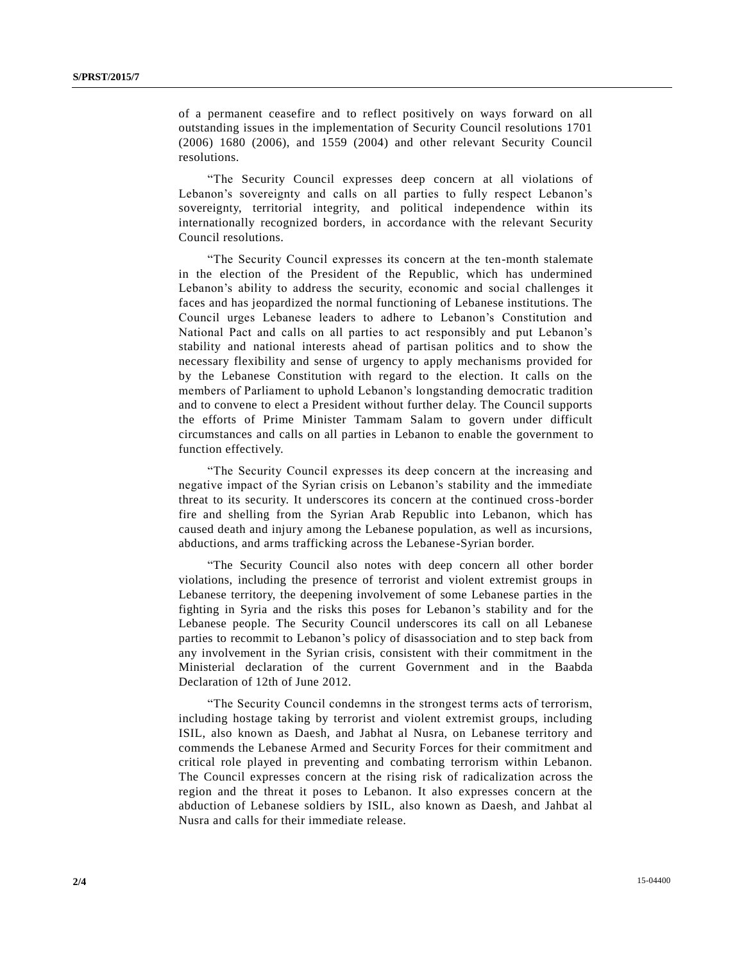of a permanent ceasefire and to reflect positively on ways forward on all outstanding issues in the implementation of Security Council resolutions 1701 (2006) 1680 (2006), and 1559 (2004) and other relevant Security Council resolutions.

"The Security Council expresses deep concern at all violations of Lebanon's sovereignty and calls on all parties to fully respect Lebanon's sovereignty, territorial integrity, and political independence within its internationally recognized borders, in accordance with the relevant Security Council resolutions.

"The Security Council expresses its concern at the ten-month stalemate in the election of the President of the Republic, which has undermined Lebanon's ability to address the security, economic and social challenges it faces and has jeopardized the normal functioning of Lebanese institutions. The Council urges Lebanese leaders to adhere to Lebanon's Constitution and National Pact and calls on all parties to act responsibly and put Lebanon's stability and national interests ahead of partisan politics and to show the necessary flexibility and sense of urgency to apply mechanisms provided for by the Lebanese Constitution with regard to the election. It calls on the members of Parliament to uphold Lebanon's longstanding democratic tradition and to convene to elect a President without further delay. The Council supports the efforts of Prime Minister Tammam Salam to govern under difficult circumstances and calls on all parties in Lebanon to enable the government to function effectively.

"The Security Council expresses its deep concern at the increasing and negative impact of the Syrian crisis on Lebanon's stability and the immediate threat to its security. It underscores its concern at the continued cross-border fire and shelling from the Syrian Arab Republic into Lebanon, which has caused death and injury among the Lebanese population, as well as incursions, abductions, and arms trafficking across the Lebanese-Syrian border.

"The Security Council also notes with deep concern all other border violations, including the presence of terrorist and violent extremist groups in Lebanese territory, the deepening involvement of some Lebanese parties in the fighting in Syria and the risks this poses for Lebanon's stability and for the Lebanese people. The Security Council underscores its call on all Lebanese parties to recommit to Lebanon's policy of disassociation and to step back from any involvement in the Syrian crisis, consistent with their commitment in the Ministerial declaration of the current Government and in the Baabda Declaration of 12th of June 2012.

"The Security Council condemns in the strongest terms acts of terrorism, including hostage taking by terrorist and violent extremist groups, including ISIL, also known as Daesh, and Jabhat al Nusra, on Lebanese territory and commends the Lebanese Armed and Security Forces for their commitment and critical role played in preventing and combating terrorism within Lebanon. The Council expresses concern at the rising risk of radicalization across the region and the threat it poses to Lebanon. It also expresses concern at the abduction of Lebanese soldiers by ISIL, also known as Daesh, and Jahbat al Nusra and calls for their immediate release.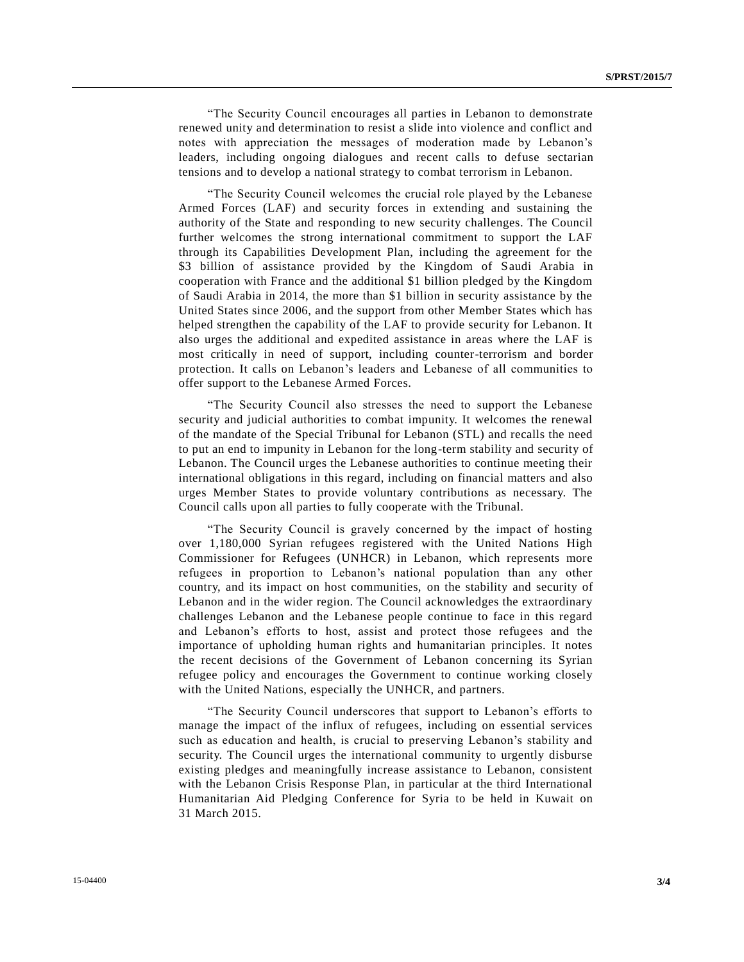"The Security Council encourages all parties in Lebanon to demonstrate renewed unity and determination to resist a slide into violence and conflict and notes with appreciation the messages of moderation made by Lebanon's leaders, including ongoing dialogues and recent calls to defuse sectarian tensions and to develop a national strategy to combat terrorism in Lebanon.

"The Security Council welcomes the crucial role played by the Lebanese Armed Forces (LAF) and security forces in extending and sustaining the authority of the State and responding to new security challenges. The Council further welcomes the strong international commitment to support the LAF through its Capabilities Development Plan, including the agreement for the \$3 billion of assistance provided by the Kingdom of Saudi Arabia in cooperation with France and the additional \$1 billion pledged by the Kingdom of Saudi Arabia in 2014, the more than \$1 billion in security assistance by the United States since 2006, and the support from other Member States which has helped strengthen the capability of the LAF to provide security for Lebanon. It also urges the additional and expedited assistance in areas where the LAF is most critically in need of support, including counter-terrorism and border protection. It calls on Lebanon's leaders and Lebanese of all communities to offer support to the Lebanese Armed Forces.

"The Security Council also stresses the need to support the Lebanese security and judicial authorities to combat impunity. It welcomes the renewal of the mandate of the Special Tribunal for Lebanon (STL) and recalls the need to put an end to impunity in Lebanon for the long-term stability and security of Lebanon. The Council urges the Lebanese authorities to continue meeting their international obligations in this regard, including on financial matters and also urges Member States to provide voluntary contributions as necessary. The Council calls upon all parties to fully cooperate with the Tribunal.

"The Security Council is gravely concerned by the impact of hosting over 1,180,000 Syrian refugees registered with the United Nations High Commissioner for Refugees (UNHCR) in Lebanon, which represents more refugees in proportion to Lebanon's national population than any other country, and its impact on host communities, on the stability and security of Lebanon and in the wider region. The Council acknowledges the extraordinary challenges Lebanon and the Lebanese people continue to face in this regard and Lebanon's efforts to host, assist and protect those refugees and the importance of upholding human rights and humanitarian principles. It notes the recent decisions of the Government of Lebanon concerning its Syrian refugee policy and encourages the Government to continue working closely with the United Nations, especially the UNHCR, and partners.

"The Security Council underscores that support to Lebanon's efforts to manage the impact of the influx of refugees, including on essential services such as education and health, is crucial to preserving Lebanon's stability and security. The Council urges the international community to urgently disburse existing pledges and meaningfully increase assistance to Lebanon, consistent with the Lebanon Crisis Response Plan, in particular at the third International Humanitarian Aid Pledging Conference for Syria to be held in Kuwait on 31 March 2015.